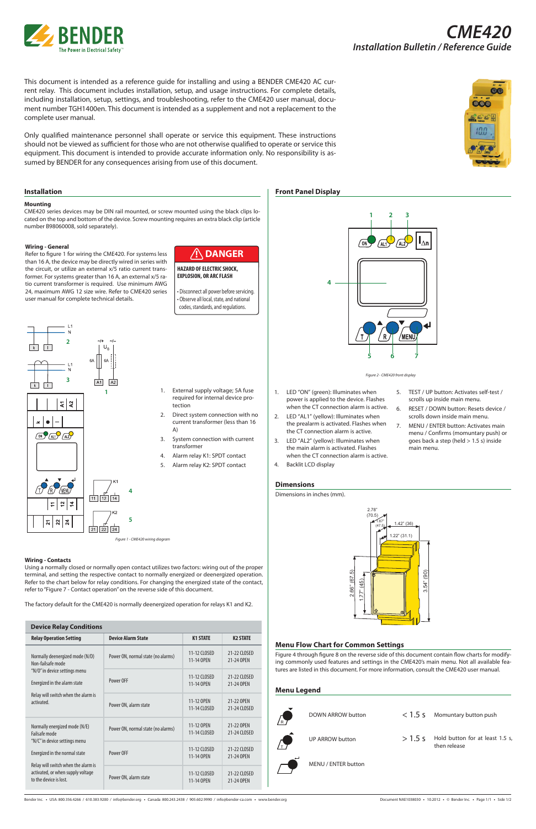

This document is intended as a reference guide for installing and using a BENDER CME420 AC current relay. This document includes installation, setup, and usage instructions. For complete details, including installation, setup, settings, and troubleshooting, refer to the CME420 user manual, document number TGH1400en. This document is intended as a supplement and not a replacement to the complete user manual.

Only qualified maintenance personnel shall operate or service this equipment. These instructions should not be viewed as sufficient for those who are not otherwise qualified to operate or service this equipment. This document is intended to provide accurate information only. No responsibility is assumed by BENDER for any consequences arising from use of this document.



#### **Installation**

#### **Mounting**

CME420 series devices may be DIN rail mounted, or screw mounted using the black clips located on the top and bottom of the device. Screw mounting requires an extra black clip (article number B98060008, sold separately).



• Disconnect all power before servicing. • Observe all local, state, and national codes, standards, and regulations.

#### **HAZARD OF ELECTRIC SHOCK, EXPLOSION, OR ARC FLASH**

#### **Wiring - General**

Refer to figure 1 for wiring the CME420. For systems less than 16 A, the device may be directly wired in series with the circuit, or utilize an external x/5 ratio current transformer. For systems greater than 16 A, an external x/5 ratio current transformer is required. Use minimum AWG 24, maximum AWG 12 size wire. Refer to CME420 series user manual for complete technical details.

- 1. External supply voltage; 5A fuse required for internal device protection
- 2. Direct system connection with no current transformer (less than 16 A)
- 3. System connection with current transformer
- 4. Alarm relay K1: SPDT contact
- 5. Alarm relay K2: SPDT contact
- 1. LED "ON" (green): Illuminates when power is applied to the device. Flashes when the CT connection alarm is active.

*Figure 1 - CME420 wiring diagram*

**Front Panel Display**

- 2. LED "AL1" (yellow): Illuminates when the prealarm is activated. Flashes when the CT connection alarm is active.
- 3. LED "AL2" (yellow): Illuminates when the main alarm is activated. Flashes when the CT connection alarm is active.
- 4. Backlit LCD display
- 5. TEST / UP button: Activates self-test / scrolls up inside main menu.
- 6. RESET / DOWN button: Resets device / scrolls down inside main menu.
- 7. MENU / ENTER button: Activates main menu / Confirms (momuntary push) or goes back a step (held > 1.5 s) inside main menu.

**1 2 3**

**4**

**5 6 7**

*Figure 2 - CME420 front display*

/MENU

### **Menu Flow Chart for Common Settings**

Figure 4 through figure 8 on the reverse side of this document contain flow charts for modifying commonly used features and settings in the CME420's main menu. Not all available features are listed in this document. For more information, consult the CME420 user manual.

#### **Menu Legend**



Bender Inc. • USA: 800.356.4266 / 610.383.9200 / info@bender.org • Canada: 800.243.2438 / 905.602.9990 / info@bender-ca.com • www.bender.org bender manuf NAE1038030 • 10.2012 • © Bender Inc. • Page 1/1 • Side 1/2



#### **Wiring - Contacts**

Using a normally closed or normally open contact utilizes two factors: wiring out of the proper terminal, and setting the respective contact to normally energized or deenergized operation. Refer to the chart below for relay conditions. For changing the energized state of the contact, refer to "Figure 7 - Contact operation" on the reverse side of this document.

The factory default for the CME420 is normally deenergized operation for relays K1 and K2.

## **Dimensions**

Dimensions in inches (mm).



| <b>Relay Operation Setting</b>                                                                                                                                                                                         | <b>Device Alarm State</b>          | <b>K1 STATE</b>            | <b>K2 STATE</b>            |
|------------------------------------------------------------------------------------------------------------------------------------------------------------------------------------------------------------------------|------------------------------------|----------------------------|----------------------------|
| Normally deenergized mode (N/D)<br>Non-failsafe mode<br>"N/O" in device settings menu<br>Energized in the alarm state<br>Relay will switch when the alarm is<br>activated.                                             | Power ON, normal state (no alarms) | 11-12 CLOSED<br>11-14 OPEN | 21-22 CLOSED<br>21-24 OPEN |
|                                                                                                                                                                                                                        | Power OFF                          | 11-12 CLOSED<br>11-14 OPEN | 21-22 CLOSED<br>21-24 OPEN |
|                                                                                                                                                                                                                        | Power ON, alarm state              | 11-12 OPEN<br>11-14 CLOSED | 21-22 OPEN<br>21-24 CLOSED |
| Normally energized mode (N/E)<br>Failsafe mode<br>"N/C" in device settings menu<br>Energized in the normal state<br>Relay will switch when the alarm is<br>activated, or when supply voltage<br>to the device is lost. | Power ON, normal state (no alarms) | 11-12 OPEN<br>11-14 CLOSED | 21-22 OPEN<br>21-24 CLOSED |
|                                                                                                                                                                                                                        | Power OFF                          | 11-12 CLOSED<br>11-14 OPEN | 21-22 CLOSED<br>21-24 OPEN |
|                                                                                                                                                                                                                        | Power ON, alarm state              | 11-12 CLOSED<br>11-14 OPEN | 21-22 CLOSED<br>21-24 OPEN |

|  | <b>Device Relay Conditions</b> |
|--|--------------------------------|
|--|--------------------------------|